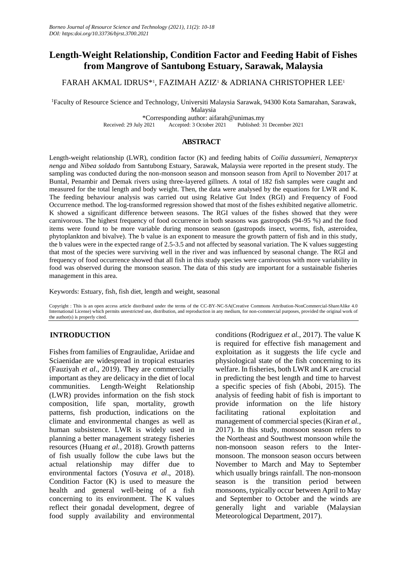# **Length-Weight Relationship, Condition Factor and Feeding Habit of Fishes from Mangrove of Santubong Estuary, Sarawak, Malaysia**

# FARAH AKMAL IDRUS\*<sup>1</sup> , FAZIMAH AZIZ<sup>1</sup> & ADRIANA CHRISTOPHER LEE<sup>1</sup>

<sup>1</sup>Faculty of Resource Science and Technology, Universiti Malaysia Sarawak, 94300 Kota Samarahan, Sarawak,

Malaysia

\*Corresponding author: aifarah@unimas.my Published: 31 December 2021

# **ABSTRACT**

Length-weight relationship (LWR), condition factor (K) and feeding habits of *Coilia dussumieri, Nemapteryx nenga* and *Nibea soldado* from Santubong Estuary, Sarawak, Malaysia were reported in the present study. The sampling was conducted during the non-monsoon season and monsoon season from April to November 2017 at Buntal, Penambir and Demak rivers using three-layered gillnets. A total of 182 fish samples were caught and measured for the total length and body weight. Then, the data were analysed by the equations for LWR and K. The feeding behaviour analysis was carried out using Relative Gut Index (RGI) and Frequency of Food Occurrence method. The log-transformed regression showed that most of the fishes exhibited negative allometric. K showed a significant difference between seasons. The RGI values of the fishes showed that they were carnivorous. The highest frequency of food occurrence in both seasons was gastropods (94-95 %) and the food items were found to be more variable during monsoon season (gastropods insect, worms, fish, asteroidea, phytoplankton and bivalve). The b value is an exponent to measure the growth pattern of fish and in this study, the b values were in the expected range of 2.5-3.5 and not affected by seasonal variation. The K values suggesting that most of the species were surviving well in the river and was influenced by seasonal change. The RGI and frequency of food occurrence showed that all fish in this study species were carnivorous with more variability in food was observed during the monsoon season. The data of this study are important for a sustainable fisheries management in this area.

Keywords: Estuary, fish, fish diet, length and weight, seasonal

Copyright : This is an open access article distributed under the terms of the CC-BY-NC-SA(Creative Commons Attribution-NonCommercial-ShareAlike 4.0 International License) which permits unrestricted use, distribution, and reproduction in any medium, for non-commercial purposes, provided the original work of the author(s) is properly cited.

# **INTRODUCTION**

Fishes from families of Engraulidae, Ariidae and Sciaenidae are widespread in tropical estuaries (Fauziyah *et al*., 2019). They are commercially important as they are delicacy in the diet of local communities. Length-Weight Relationship (LWR) provides information on the fish stock composition, life span, mortality, growth patterns, fish production, indications on the climate and environmental changes as well as human subsistence. LWR is widely used in planning a better management strategy fisheries resources (Huang *et al.,* 2018). Growth patterns of fish usually follow the cube laws but the actual relationship may differ due to environmental factors (Yosuva *et al*., 2018). Condition Factor (K) is used to measure the health and general well-being of a fish concerning to its environment. The K values reflect their gonadal development, degree of food supply availability and environmental

conditions (Rodriguez *et al.,* 2017). The value K is required for effective fish management and exploitation as it suggests the life cycle and physiological state of the fish concerning to its welfare. In fisheries, both LWR and K are crucial in predicting the best length and time to harvest a specific species of fish (Abobi, 2015). The analysis of feeding habit of fish is important to provide information on the life history facilitating rational exploitation and management of commercial species (Kiran *et al.,* 2017). In this study, monsoon season refers to the Northeast and Southwest monsoon while the non-monsoon season refers to the Intermonsoon. The monsoon season occurs between November to March and May to September which usually brings rainfall. The non-monsoon season is the transition period between monsoons, typically occur between April to May and September to October and the winds are generally light and variable (Malaysian Meteorological Department, 2017).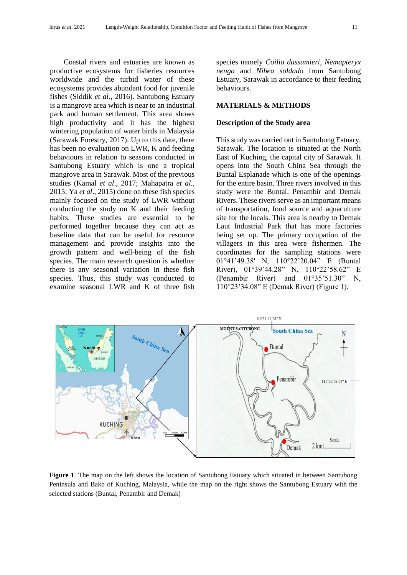Coastal rivers and estuaries are known as productive ecosystems for fisheries resources worldwide and the turbid water of these ecosystems provides abundant food for juvenile fishes (Siddik *et al*., 2016). Santubong Estuary is a mangrove area which is near to an industrial park and human settlement. This area shows high productivity and it has the highest wintering population of water birds in Malaysia (Sarawak Forestry, 2017). Up to this date, there has been no evaluation on LWR, K and feeding behaviours in relation to seasons conducted in Santubong Estuary which is one a tropical mangrove area in Sarawak. Most of the previous studies (Kamal *et al*., 2017; Mahapatra *et al.,* 2015; Ya *et al*., 2015) done on these fish species mainly focused on the study of LWR without conducting the study on K and their feeding habits. These studies are essential to be performed together because they can act as baseline data that can be useful for resource management and provide insights into the growth pattern and well-being of the fish species. The main research question is whether there is any seasonal variation in these fish species. Thus, this study was conducted to examine seasonal LWR and K of three fish

species namely *Coilia dussumieri, Nemapteryx nenga* and *Nibea soldado* from Santubong Estuary, Sarawak in accordance to their feeding behaviours.

## **MATERIALS & METHODS**

## **Description of the Study area**

This study was carried out in Santubong Estuary, Sarawak. The location is situated at the North East of Kuching, the capital city of Sarawak. It opens into the South China Sea through the Buntal Esplanade which is one of the openings for the entire basin. Three rivers involved in this study were the Buntal, Penambir and Demak Rivers. These rivers serve as an important means of transportation, food source and aquaculture site for the locals. This area is nearby to Demak Laut Industrial Park that has more factories being set up. The primary occupation of the villagers in this area were fishermen. The coordinates for the sampling stations were 01°41'49.38' N, 110°22'20.04" E (Buntal River), 01°39'44.28" N, 110°22'58.62" E (Penambir River) and 01°35'51.30" N, 110°23'34.08" E (Demak River) (Figure 1).



**Figure 1**. The map on the left shows the location of Santubong Estuary which situated in between Santubong Peninsula and Bako of Kuching, Malaysia, while the map on the right shows the Santubong Estuary with the selected stations (Buntal, Penambir and Demak)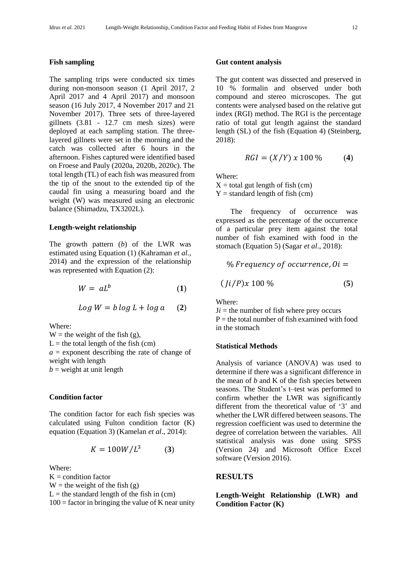#### **Fish sampling**

The sampling trips were conducted six times during non-monsoon season (1 April 2017, 2 April 2017 and 4 April 2017) and monsoon season (16 July 2017, 4 November 2017 and 21 November 2017). Three sets of three-layered gillnets (3.81 - 12.7 cm mesh sizes) were deployed at each sampling station. The threelayered gillnets were set in the morning and the catch was collected after 6 hours in the afternoon. Fishes captured were identified based on Froese and Pauly (2020a, 2020b, 2020c). The total length (TL) of each fish was measured from the tip of the snout to the extended tip of the caudal fin using a measuring board and the weight (W) was measured using an electronic balance (Shimadzu, TX3202L).

#### **Length-weight relationship**

The growth pattern (*b*) of the LWR was estimated using Equation (1) (Kahraman *et al.,* 2014) and the expression of the relationship was represented with Equation (2):

$$
W = aL^b \tag{1}
$$

$$
Log W = b \log L + \log a \quad (2)
$$

Where:

W = the weight of the fish  $(g)$ ,  $L =$  the total length of the fish (cm)  $a =$  exponent describing the rate of change of weight with length  $b$  = weight at unit length

#### **Condition factor**

The condition factor for each fish species was calculated using Fulton condition factor (K) equation (Equation 3) (Kamelan *et al*., 2014):

$$
K = 100W/L^3 \tag{3}
$$

Where:

 $K =$  condition factor  $W =$  the weight of the fish (g)  $L =$  the standard length of the fish in (cm)  $100 =$  factor in bringing the value of K near unity

#### **Gut content analysis**

The gut content was dissected and preserved in 10 % formalin and observed under both compound and stereo microscopes. The gut contents were analysed based on the relative gut index (RGI) method. The RGI is the percentage ratio of total gut length against the standard length (SL) of the fish (Equation 4) (Steinberg, 2018):

$$
RGI = (X/Y) \times 100\,\%
$$
 (4)

Where:

 $X =$  total gut length of fish (cm)  $Y =$  standard length of fish (cm)

The frequency of occurrence was expressed as the percentage of the occurrence of a particular prey item against the total number of fish examined with food in the stomach (Equation 5) (Sagar *et al*., 2018):

% Frequency of occurrence, 
$$
Oi = (Ji/P)x 100%
$$
 (5)

Where:

 $J*i*$  = the number of fish where prey occurs  $P =$  the total number of fish examined with food in the stomach

#### **Statistical Methods**

Analysis of variance (ANOVA) was used to determine if there was a significant difference in the mean of *b* and K of the fish species between seasons. The Student's t–test was performed to confirm whether the LWR was significantly different from the theoretical value of '3' and whether the LWR differed between seasons. The regression coefficient was used to determine the degree of correlation between the variables. All statistical analysis was done using SPSS (Version 24) and Microsoft Office Excel software (Version 2016).

# **RESULTS**

**Length-Weight Relationship (LWR) and Condition Factor (K)**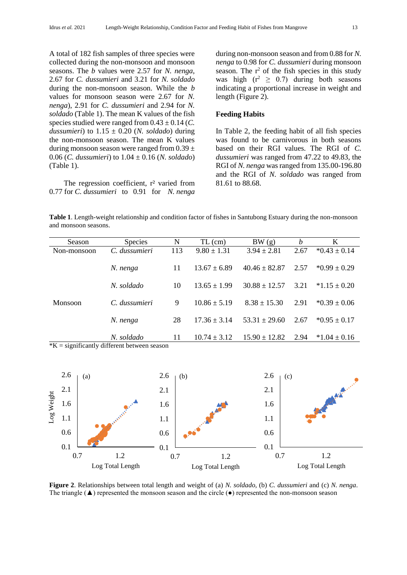A total of 182 fish samples of three species were collected during the non-monsoon and monsoon seasons. The *b* values were 2.57 for *N. nenga*, 2.67 for *C. dussumieri* and 3.21 for *N. soldado* during the non-monsoon season. While the *b* values for monsoon season were 2.67 for *N. nenga*), 2.91 for *C. dussumieri* and 2.94 for *N. soldado* (Table 1). The mean K values of the fish species studied were ranged from  $0.43 \pm 0.14$  (*C*. *dussumieri*) to 1.15 ± 0.20 (*N. soldado*) during the non-monsoon season. The mean K values during monsoon season were ranged from  $0.39 \pm$ 0.06 (*C. dussumieri*) to 1.04 ± 0.16 (*N. soldado*) (Table 1).

The regression coefficient, r<sup>2</sup> varied from 0.77 for *C. dussumieri* to 0.91 for *N. nenga*

during non-monsoon season and from 0.88 for *N. nenga* to 0.98 for *C. dussumieri* during monsoon season. The  $r^2$  of the fish species in this study was high  $(r^2 \geq 0.7)$  during both seasons indicating a proportional increase in weight and length (Figure 2).

## **Feeding Habits**

In Table 2, the feeding habit of all fish species was found to be carnivorous in both seasons based on their RGI values. The RGI of *C. dussumieri* was ranged from 47.22 to 49.83, the RGI of *N. nenga* was ranged from 135.00-196.80 and the RGI of *N. soldado* was ranged from 81.61 to 88.68.

**Table 1**. Length-weight relationship and condition factor of fishes in Santubong Estuary during the non-monsoon and monsoon seasons.

| Season                                 | <b>Species</b> | N   | $TL$ (cm)        | BW(g)             | b    | K                |
|----------------------------------------|----------------|-----|------------------|-------------------|------|------------------|
| Non-monsoon                            | C. dussumieri  | 113 | $9.80 \pm 1.31$  | $3.94 \pm 2.81$   | 2.67 | $*0.43 \pm 0.14$ |
|                                        | N. nenga       | 11  | $13.67 \pm 6.89$ | $40.46 \pm 82.87$ | 2.57 | $*0.99 \pm 0.29$ |
| Monsoon                                | N. soldado     | 10  | $13.65 \pm 1.99$ | $30.88 \pm 12.57$ | 3.21 | $*1.15 \pm 0.20$ |
|                                        | C. dussumieri  | 9   | $10.86 \pm 5.19$ | $8.38 \pm 15.30$  | 2.91 | $*0.39 \pm 0.06$ |
|                                        | N. nenga       | 28  | $17.36 \pm 3.14$ | $53.31 \pm 29.60$ | 2.67 | $*0.95 \pm 0.17$ |
| 1.77<br>$\cdot$ $\sim$<br>$\cdot$ 1.00 | N. soldado     | 11  | $10.74 \pm 3.12$ | $15.90 \pm 12.82$ | 2.94 | $*1.04 \pm 0.16$ |

 $*K$  = significantly different between season



**Figure 2**. Relationships between total length and weight of (a) *N. soldado*, (b) *C. dussumieri* and (c) *N. nenga*. The triangle  $(\triangle)$  represented the monsoon season and the circle  $(\bullet)$  represented the non-monsoon season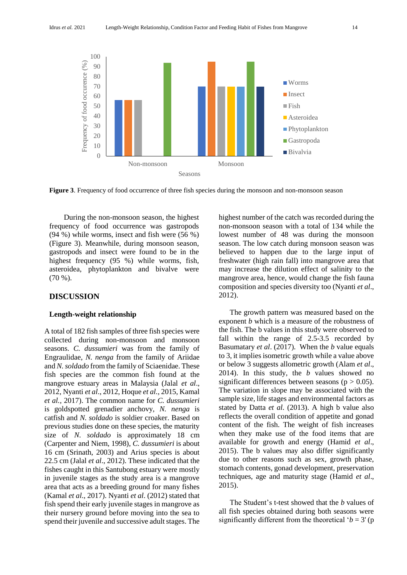

**Figure 3**. Frequency of food occurrence of three fish species during the monsoon and non-monsoon season

During the non-monsoon season, the highest frequency of food occurrence was gastropods (94 %) while worms, insect and fish were (56 %) (Figure 3). Meanwhile, during monsoon season, gastropods and insect were found to be in the highest frequency (95 %) while worms, fish, asteroidea, phytoplankton and bivalve were (70 %).

# **DISCUSSION**

#### **Length-weight relationship**

A total of 182 fish samples of three fish species were collected during non-monsoon and monsoon seasons. *C. dussumieri* was from the family of Engraulidae, *N. nenga* from the family of Ariidae and *N. soldado* from the family of Sciaenidae. These fish species are the common fish found at the mangrove estuary areas in Malaysia (Jalal *et al*., 2012, Nyanti *et al*., 2012, Hoque *et al.,* 2015, Kamal *et al.,* 2017). The common name for *C. dussumieri* is goldspotted grenadier anchovy, *N. nenga* is catfish and *N. soldado* is soldier croaker. Based on previous studies done on these species, the maturity size of *N. soldado* is approximately 18 cm (Carpenter and Niem, 1998), *C. dussumieri* is about 16 cm (Srinath, 2003) and Arius species is about 22.5 cm (Jalal *et al*., 2012). These indicated that the fishes caught in this Santubong estuary were mostly in juvenile stages as the study area is a mangrove area that acts as a breeding ground for many fishes (Kamal *et al*., 2017). Nyanti *et al*. (2012) stated that fish spend their early juvenile stages in mangrove as their nursery ground before moving into the sea to spend their juvenile and successive adult stages. The highest number of the catch was recorded during the non-monsoon season with a total of 134 while the lowest number of 48 was during the monsoon season. The low catch during monsoon season was believed to happen due to the large input of freshwater (high rain fall) into mangrove area that may increase the dilution effect of salinity to the mangrove area, hence, would change the fish fauna composition and species diversity too (Nyanti *et al*., 2012).

The growth pattern was measured based on the exponent *b* which is a measure of the robustness of the fish. The b values in this study were observed to fall within the range of 2.5-3.5 recorded by Basumatary *et al*. (2017). When the *b* value equals to 3, it implies isometric growth while a value above or below 3 suggests allometric growth (Alam *et al*., 2014). In this study, the *b* values showed no significant differences between seasons ( $p > 0.05$ ). The variation in slope may be associated with the sample size, life stages and environmental factors as stated by Datta *et al*. (2013). A high b value also reflects the overall condition of appetite and gonad content of the fish. The weight of fish increases when they make use of the food items that are available for growth and energy (Hamid *et al*., 2015). The b values may also differ significantly due to other reasons such as sex, growth phase, stomach contents, gonad development, preservation techniques, age and maturity stage (Hamid *et al*., 2015).

The Student's t-test showed that the *b* values of all fish species obtained during both seasons were significantly different from the theoretical ' $b = 3$ ' (p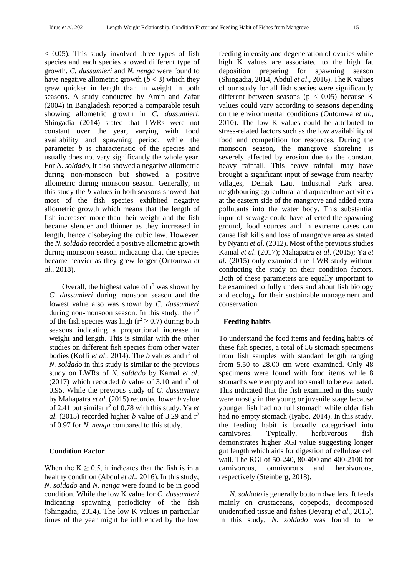$< 0.05$ ). This study involved three types of fish species and each species showed different type of growth. *C. dussumieri* and *N. nenga* were found to have negative allometric growth  $(b < 3)$  which they grew quicker in length than in weight in both seasons. A study conducted by Amin and Zafar (2004) in Bangladesh reported a comparable result showing allometric growth in *C. dussumieri*. Shingadia (2014) stated that LWRs were not constant over the year, varying with food availability and spawning period, while the parameter *b* is characteristic of the species and usually does not vary significantly the whole year. For *N. soldado*, it also showed a negative allometric during non-monsoon but showed a positive allometric during monsoon season. Generally, in this study the *b* values in both seasons showed that most of the fish species exhibited negative allometric growth which means that the length of fish increased more than their weight and the fish became slender and thinner as they increased in length, hence disobeying the cubic law. However, the *N. soldado* recorded a positive allometric growth during monsoon season indicating that the species became heavier as they grew longer (Ontomwa *et al*., 2018).

Overall, the highest value of  $r^2$  was shown by *C. dussumieri* during monsoon season and the lowest value also was shown by *C. dussumieri* during non-monsoon season. In this study, the  $r^2$ of the fish species was high ( $r^2 \ge 0.7$ ) during both seasons indicating a proportional increase in weight and length. This is similar with the other studies on different fish species from other water bodies (Koffi *et al.*, 2014). The *b* values and r<sup>2</sup> of *N. soldado* in this study is similar to the previous study on LWRs of *N. soldado* by Kamal *et al*. (2017) which recorded *b* value of 3.10 and  $r^2$  of 0.95. While the previous study of *C. dussumieri* by Mahapatra *et al*. (2015) recorded lower *b* value of 2.41 but similar  $r^2$  of 0.78 with this study. Ya *et al.* (2015) recorded higher *b* value of 3.29 and  $r^2$ of 0.97 for *N. nenga* compared to this study.

#### **Condition Factor**

When the  $K \ge 0.5$ , it indicates that the fish is in a healthy condition (Abdul *et al*., 2016). In this study, *N. soldado* and *N. nenga* were found to be in good condition. While the low K value for *C. dussumieri* indicating spawning periodicity of the fish (Shingadia, 2014). The low K values in particular times of the year might be influenced by the low

feeding intensity and degeneration of ovaries while high K values are associated to the high fat deposition preparing for spawning season (Shingadia, 2014, Abdul *et al*., 2016). The K values of our study for all fish species were significantly different between seasons ( $p < 0.05$ ) because K values could vary according to seasons depending on the environmental conditions (Ontomwa *et al*., 2010). The low K values could be attributed to stress-related factors such as the low availability of food and competition for resources. During the monsoon season, the mangrove shoreline is severely affected by erosion due to the constant heavy rainfall. This heavy rainfall may have brought a significant input of sewage from nearby villages, Demak Laut Industrial Park area, neighbouring agricultural and aquaculture activities at the eastern side of the mangrove and added extra pollutants into the water body. This substantial input of sewage could have affected the spawning ground, food sources and in extreme cases can cause fish kills and loss of mangrove area as stated by Nyanti *et al*. (2012). Most of the previous studies Kamal *et al*. (2017); Mahapatra *et al*. (2015); Ya *et al*. (2015) only examined the LWR study without conducting the study on their condition factors. Both of these parameters are equally important to be examined to fully understand about fish biology and ecology for their sustainable management and conservation.

## **Feeding habits**

To understand the food items and feeding habits of these fish species, a total of 56 stomach specimens from fish samples with standard length ranging from 5.50 to 28.00 cm were examined. Only 48 specimens were found with food items while 8 stomachs were empty and too small to be evaluated. This indicated that the fish examined in this study were mostly in the young or juvenile stage because younger fish had no full stomach while older fish had no empty stomach (Iyabo, 2014). In this study, the feeding habit is broadly categorised into carnivores. Typically, herbivorous fish demonstrates higher RGI value suggesting longer gut length which aids for digestion of cellulose cell wall. The RGI of 50-240, 80-400 and 400-2100 for carnivorous, omnivorous and herbivorous, respectively (Steinberg, 2018).

*N. soldado* is generally bottom dwellers. It feeds mainly on crustaceans, copepods, decomposed unidentified tissue and fishes (Jeyaraj *et al*., 2015). In this study, *N. soldado* was found to be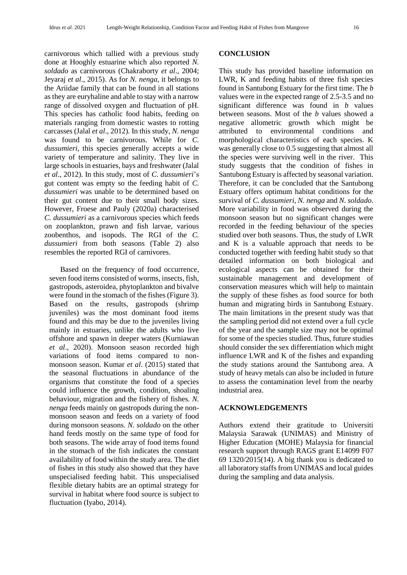carnivorous which tallied with a previous study done at Hooghly estuarine which also reported *N. soldado* as carnivorous (Chakraborty *et al*., 2004; Jeyaraj *et al*., 2015). As for *N. nenga*, it belongs to the Ariidae family that can be found in all stations as they are euryhaline and able to stay with a narrow range of dissolved oxygen and fluctuation of pH. This species has catholic food habits, feeding on materials ranging from domestic wastes to rotting carcasses (Jalal *et al*., 2012). In this study, *N. nenga* was found to be carnivorous. While for *C. dussumieri*, this species generally accepts a wide variety of temperature and salinity. They live in large schools in estuaries, bays and freshwater (Jalal *et al*., 2012). In this study, most of *C*. *dussumieri*'s gut content was empty so the feeding habit of *C. dussumieri* was unable to be determined based on their gut content due to their small body sizes. However, Froese and Pauly (2020a) characterised *C. dussumieri* as a carnivorous species which feeds on zooplankton, prawn and fish larvae, various zoobenthos, and isopods. The RGI of the *C. dussumieri* from both seasons (Table 2) also resembles the reported RGI of carnivores.

Based on the frequency of food occurrence, seven food items consisted of worms, insects, fish, gastropods, asteroidea, phytoplankton and bivalve were found in the stomach of the fishes (Figure 3). Based on the results, gastropods (shrimp juveniles) was the most dominant food items found and this may be due to the juveniles living mainly in estuaries, unlike the adults who live offshore and spawn in deeper waters (Kurniawan *et al*., 2020). Monsoon season recorded high variations of food items compared to nonmonsoon season. Kumar *et al*. (2015) stated that the seasonal fluctuations in abundance of the organisms that constitute the food of a species could influence the growth, condition, shoaling behaviour, migration and the fishery of fishes. *N. nenga* feeds mainly on gastropods during the nonmonsoon season and feeds on a variety of food during monsoon seasons. *N. soldado* on the other hand feeds mostly on the same type of food for both seasons. The wide array of food items found in the stomach of the fish indicates the constant availability of food within the study area. The diet of fishes in this study also showed that they have unspecialised feeding habit. This unspecialised flexible dietary habits are an optimal strategy for survival in habitat where food source is subject to fluctuation (Iyabo, 2014).

#### **CONCLUSION**

This study has provided baseline information on LWR, K and feeding habits of three fish species found in Santubong Estuary for the first time. The *b* values were in the expected range of 2.5-3.5 and no significant difference was found in *b* values between seasons. Most of the *b* values showed a negative allometric growth which might be attributed to environmental conditions and morphological characteristics of each species. K was generally close to 0.5 suggesting that almost all the species were surviving well in the river. This study suggests that the condition of fishes in Santubong Estuary is affected by seasonal variation. Therefore, it can be concluded that the Santubong Estuary offers optimum habitat conditions for the survival of *C. dussumieri, N. nenga* and *N. soldado*. More variability in food was observed during the monsoon season but no significant changes were recorded in the feeding behaviour of the species studied over both seasons. Thus, the study of LWR and K is a valuable approach that needs to be conducted together with feeding habit study so that detailed information on both biological and ecological aspects can be obtained for their sustainable management and development of conservation measures which will help to maintain the supply of these fishes as food source for both human and migrating birds in Santubong Estuary. The main limitations in the present study was that the sampling period did not extend over a full cycle of the year and the sample size may not be optimal for some of the species studied. Thus, future studies should consider the sex differentiation which might influence LWR and K of the fishes and expanding the study stations around the Santubong area. A study of heavy metals can also be included in future to assess the contamination level from the nearby industrial area.

# **ACKNOWLEDGEMENTS**

Authors extend their gratitude to Universiti Malaysia Sarawak (UNIMAS) and Ministry of Higher Education (MOHE) Malaysia for financial research support through RAGS grant E14099 F07 69 1320/2015(14). A big thank you is dedicated to all laboratory staffs from UNIMAS and local guides during the sampling and data analysis.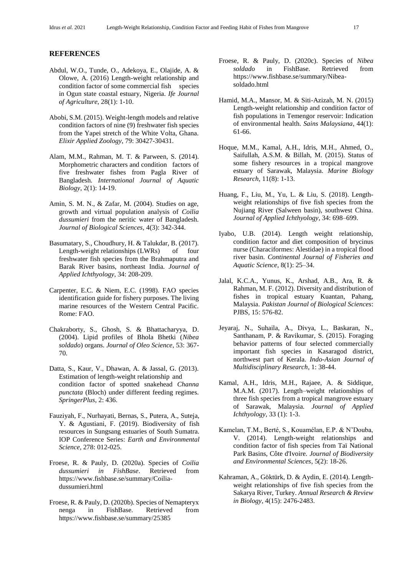#### **REFERENCES**

- Abdul, W.O., Tunde, O., Adekoya, E., Olajide, A. & Olowe, A. (2016) Length-weight relationship and condition factor of some commercial fish species in Ogun state coastal estuary, Nigeria. *Ife Journal of Agriculture*, 28(1): 1-10.
- Abobi, S.M. (2015). Weight-length models and relative condition factors of nine (9) freshwater fish species from the Yapei stretch of the White Volta, Ghana. *Elixir Applied Zoology*, 79: 30427-30431.
- Alam, M.M., Rahman, M. T. & Parween, S. (2014). Morphometric characters and condition factors of five freshwater fishes from Pagla River of Bangladesh. *International Journal of Aquatic Biology*, 2(1): 14-19.
- Amin, S. M. N., & Zafar, M. (2004). Studies on age, growth and virtual population analysis of *Coilia dussumieri* from the neritic water of Bangladesh. *Journal of Biological Sciences,* 4(3): 342-344.
- Basumatary, S., Choudhury, H. & Talukdar, B. (2017). Length-weight relationships (LWRs) of four freshwater fish species from the Brahmaputra and Barak River basins, northeast India. *Journal of Applied Ichthyology*, 34: 208-209.
- Carpenter, E.C. & Niem, E.C. (1998). FAO species identification guide for fishery purposes. The living marine resources of the Western Central Pacific. Rome: FAO.
- Chakraborty, S., Ghosh, S. & Bhattacharyya, D. (2004). Lipid profiles of Bhola Bhetki (*Nibea soldado*) organs. *Journal of Oleo Science*, 53: 367- 70.
- Datta, S., Kaur, V., Dhawan, A. & Jassal, G. (2013). Estimation of length-weight relationship and condition factor of spotted snakehead *Channa punctata* (Bloch) under different feeding regimes. *SpringerPlus*, 2: 436.
- Fauziyah, F., Nurhayati, Bernas, S., Putera, A., Suteja, Y. & Agustiani, F. (2019). Biodiversity of fish resources in Sungsang estuaries of South Sumatra. IOP Conference Series: *Earth and Environmental Science*, 278: 012-025.
- Froese, R. & Pauly, D. (2020a). Species of *Coilia dussumieri in FishBase*. Retrieved from https://www.fishbase.se/summary/Coiliadussumieri.html
- Froese, R. & Pauly, D. (2020b). Species of Nemapteryx nenga in FishBase. Retrieved from https://www.fishbase.se/summary/25385
- Froese, R. & Pauly, D. (2020c). Species of *Nibea soldado* in FishBase. Retrieved from [https://www.fishbase.se/summary/Nibea](https://www.fishbase.se/summary/Nibea-soldado.html)[soldado.html](https://www.fishbase.se/summary/Nibea-soldado.html)
- Hamid, M.A., Mansor, M. & Siti-Azizah, M. N. (2015) Length-weight relationship and condition factor of fish populations in Temengor reservoir: Indication of environmental health. *Sains Malaysiana*, 44(1): 61-66.
- Hoque, M.M., Kamal, A.H., Idris, M.H., Ahmed, O., Saifullah, A.S.M. & Billah, M. (2015). Status of some fishery resources in a tropical mangrove estuary of Sarawak, Malaysia. *Marine Biology Research*, 11(8): 1-13.
- Huang, F., Liu, M., Yu, L. & Liu, S. (2018). Lengthweight relationships of five fish species from the Nujiang River (Salween basin), southwest China. *Journal of Applied Ichthyology*, 34: 698–699.
- Iyabo, U.B. (2014). Length weight relationship, condition factor and diet composition of brycinus nurse (Characiformes: Alestidae) in a tropical flood river basin. *Continental Journal of Fisheries and Aquatic Science*, 8(1): 25–34.
- Jalal, K.C.A., Yunus, K., Arshad, A.B., Ara, R. & Rahman, M. F. (2012). Diversity and distribution of fishes in tropical estuary Kuantan, Pahang, Malaysia. *Pakistan Journal of Biological Sciences*: PJBS, 15: 576-82.
- Jeyaraj, N., Suhaila, A., Divya, L., Baskaran, N., Santhanam, P. & Ravikumar, S. (2015). Foraging behavior patterns of four selected commercially important fish species in Kasaragod district, northwest part of Kerala. *Indo-Asian Journal of Multidisciplinary Research*, 1: 38-44.
- Kamal, A.H., Idris, M.H., Rajaee, A. & Siddique, M.A.M. (2017). Length–weight relationships of three fish species from a tropical mangrove estuary of Sarawak, Malaysia. *Journal of Applied Ichthyology*, 33 (1): 1-3.
- Kamelan, T.M., Berté, S., Kouamélan, E.P. & N'Douba, V. (2014). Length-weight relationships and condition factor of fish species from Taï National Park Basins, Côte d'Ivoire. *Journal of Biodiversity and Environmental Sciences*, 5(2): 18-26.
- Kahraman, A., Göktürk, D. & Aydin, E. (2014). Lengthweight relationships of five fish species from the Sakarya River, Turkey. *Annual Research & Review in Biology*, 4(15): 2476-2483.